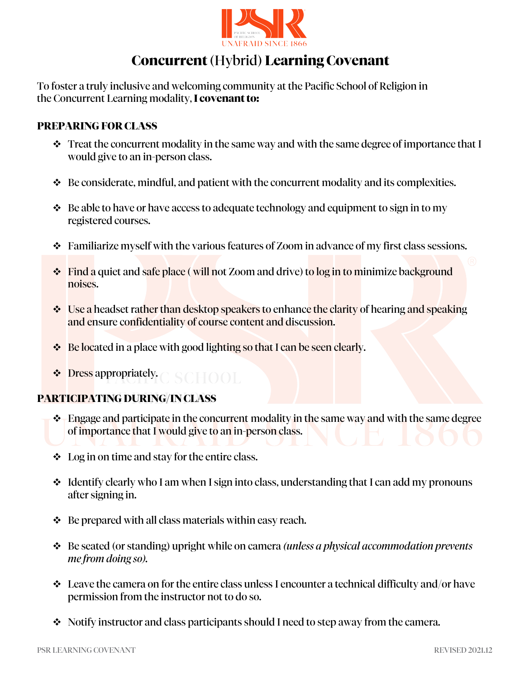

# **Concurrent** (Hybrid) **Learning Covenant**

To foster a truly inclusive and welcoming community at the Pacific School of Religion in the Concurrent Learning modality, **I covenant to:** 

### **PREPARING FOR CLASS**

- $\div$  Treat the concurrent modality in the same way and with the same degree of importance that I would give to an in-person class.
- $\div$  Be considerate, mindful, and patient with the concurrent modality and its complexities.
- $\triangle$  Be able to have or have access to adequate technology and equipment to sign in to my registered courses.
- Familiarize myself with the various features of Zoom in advance of my first class sessions.
- Find a quiet and safe place (will not Zoom and drive) to log in to minimize background noises.
- **↓** Use a headset rather than desktop speakers to enhance the clarity of hearing and speaking and ensure confidentiality of course content and discussion.
- ◆ Be located in a place with good lighting so that I can be seen clearly.
- ❖ Dress appropriately.

#### **PARTICIPATING DURING/IN CLASS**

- \* Engage and participate in the concurrent modality in the same way and with the same degree of importance that I would give to an in-person class.
- Log in on time and stay for the entire class.
- $\div$  Identify clearly who I am when I sign into class, understanding that I can add my pronouns after signing in.
- $\triangle$  Be prepared with all class materials within easy reach.
- Be seated (or standing) upright while on camera *(unless a physical accommodation prevents me from doing so).*
- $\div$  Leave the camera on for the entire class unless I encounter a technical difficulty and/or have permission from the instructor not to do so.
- Notify instructor and class participants should I need to step away from the camera.